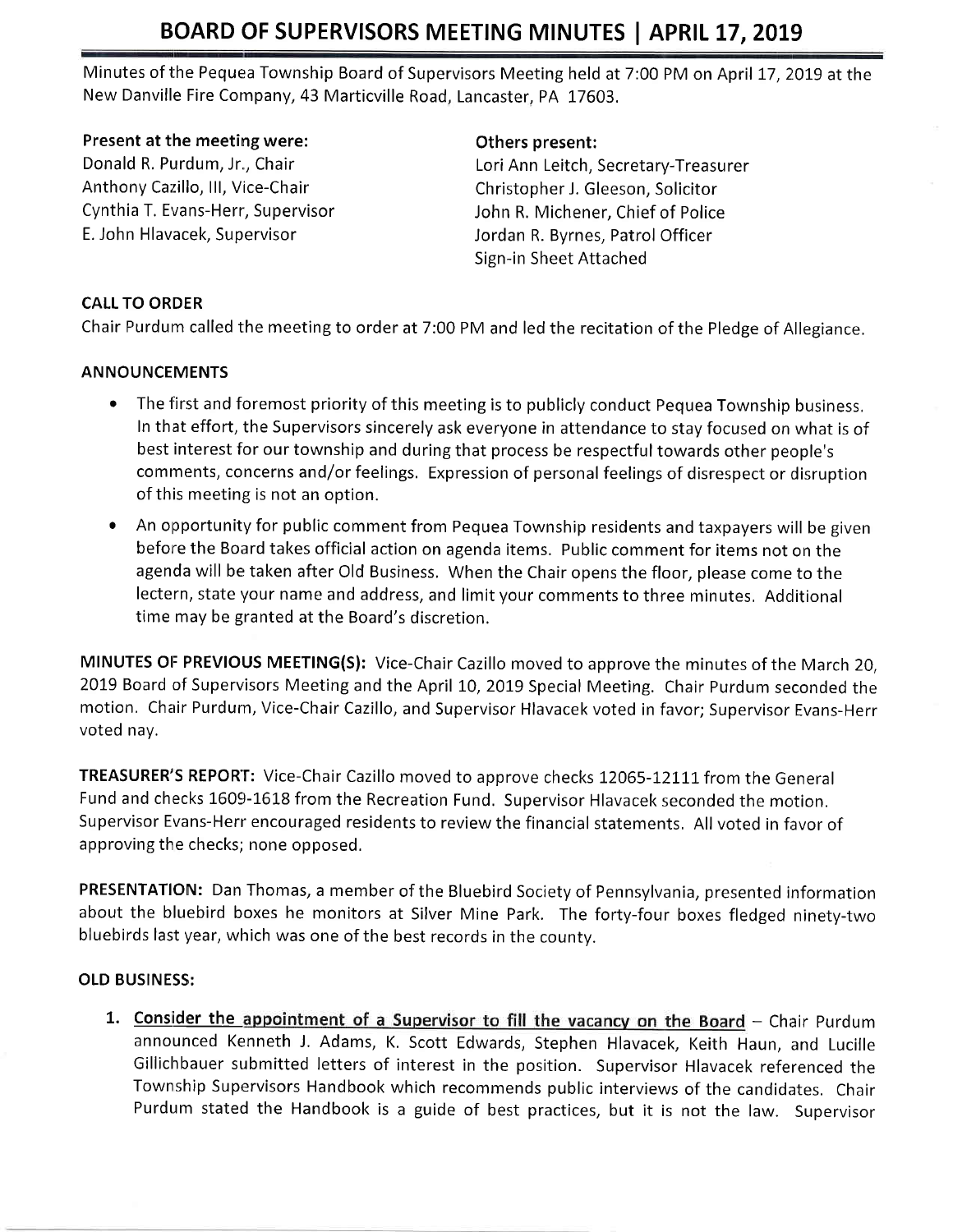# BOARD OF SUPERVISORS MEETING MINUTES | APRIL 17, 2019

Minutes of the Pequea Township Board of Supervisors Meeting held at 7:00 PM on April 17, 2019 at the New Danville Fire Company, 43 Marticville Road, Lancaster, PA 17603.

#### Present at the meeting were:

Donald R. Purdum, Jr., Chair Anthony Cazillo, III, Vice-Chair Cynthia T. Evans-Herr, Supervisor E. John Hlavacek, Supervisor

### Others present:

Lori Ann Leitch, Secretary-Treasurer Christopher J. Gleeson, Solicitor John R. Michener, Chief of Police Jordan R. Byrnes, Patrol Officer Sign-in Sheet Attached

## CALL TO ORDER

Chair Purdum called the meeting to order at 7:00 PM and led the recitation of the Pledge of Allegiance.

## ANNOUNCEMENTS

- The first and foremost priority of this meeting is to publicly conduct Pequea Township business. In that effort, the Supervisors sincerely ask everyone in attendance to stay focused on what is of best interest for our township and during that process be respectful towards other people's comments, concerns and/or feelings. Expression of personal feelings of disrespect or disruption of this meeting is not an option.
- An opportunity for public comment from Pequea Township residents and taxpayers will be given before the Board takes official action on agenda items. Public comment for items not on the agenda will be taken after Old Business. When the Chair opens the floor, please come to the lectern, state your name and address, and limit your comments to three minutes, Additional time may be granted at the Board's discretion.

MINUTES OF PREVIOUS MEETING(S): Vice-Chair Cazillo moved to approve the minutes of the March 20, 2019 Board of Supervisors Meeting and the April 10, 2019 Special Meeting. Chair Purdum seconded the motion, Chair Purdurn, Vice-Chair Cazillo, and Supervisor Hlavacek voted in favor; Supervisor Evans-Herr voted nay.

TREASURER'S REPORT: Vice-Chair Cazillo moved to approve checks 12065-12111 from the General Fund and checks 1609-1618 from the Recreation Fund. Supervisor Hlavacek seconded the motion. Supervisor Evans-Herr encouraged residents to review the financial statements. All voted in favor of approving the checks; none opposed.

PRESENTATION: Dan Thomas, a member of the Bluebird Society of Pennsylvania, presented information about the bluebird boxes he monitors at Silver Mine Park. The forty-four boxes fledged ninety-two bluebirds last year, which was one of the best records in the countv.

## OLD BUSINESS:

1. Consider the appointment of a Supervisor to fill the vacancy on the Board - Chair Purdum announced Kenneth J, Adams, K, Scott Edwards, Stephen Hlavacek, Keith Haun, and Lucille Gillichbauer submitted letters of interest in the position. Supervisor Hlavacek referenced the Township Supervisors Handbook which recommends public interviews of the candidates. Chair Purdum stated the Handbook is a guide of best practices, but it is not the law. Supervisor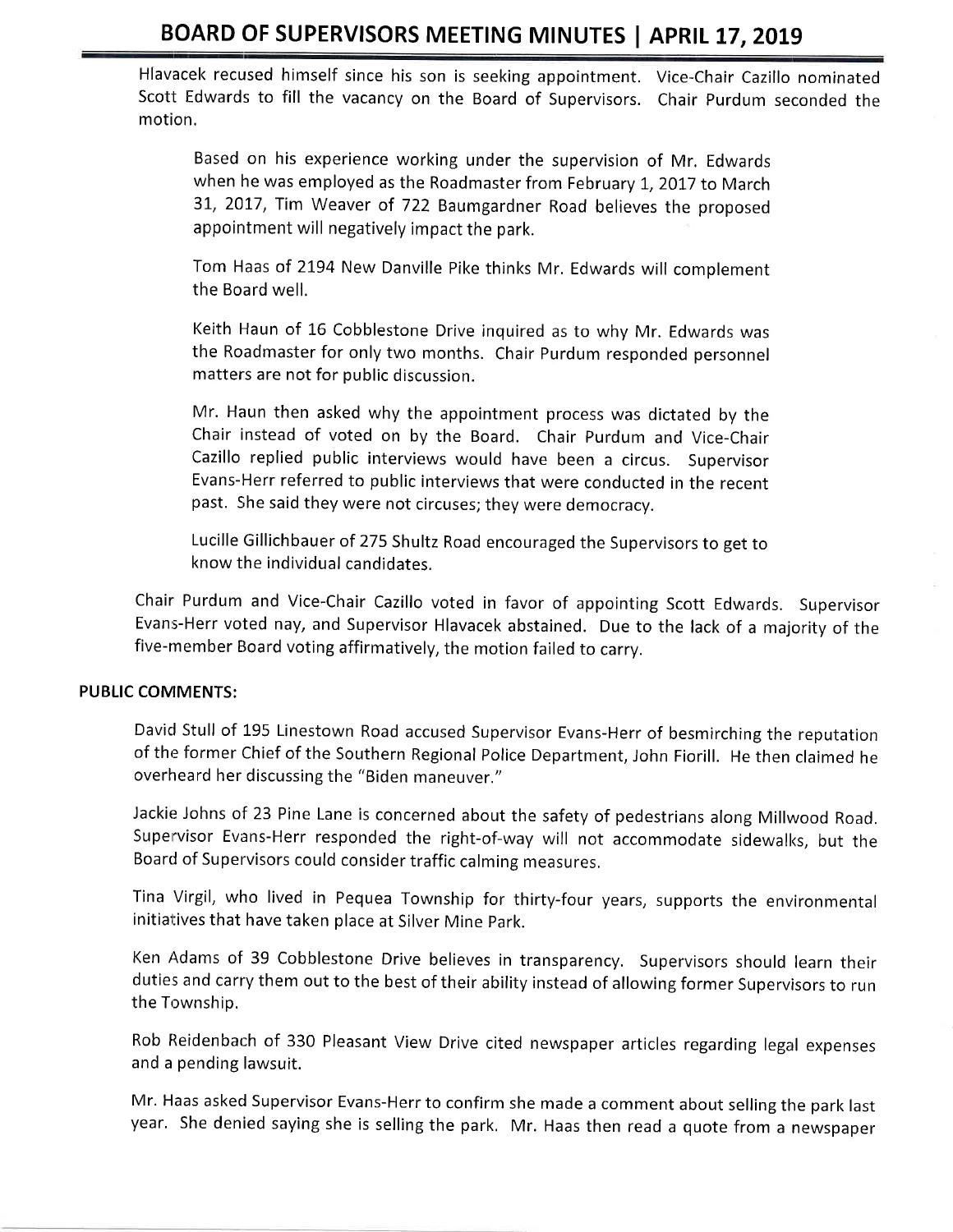# BOARD OF SUPERVISORS MEETING MINUTES | APRIL 17, 2019

Hlavacek recused himself since his son is seeking appointment, Vice-Chair Cazillo nominated Scott Edwards to fill the vacancy on the Board of Supervisors. Chair Purdum seconded the motion.

Based on his experience working under the supervision of Mr. Edwards when he was employed as the Roadmaster from February 1, 2017 to March 31, 2017, Tim Weaver of 722 Baumgardner Road believes the proposed appointment will negatively impact the park.

Tom Haas of 2194 New Danville Pike thinks Mr. Edwards will complement the Board well.

Keith Haun of 16 Cobblestone Drive inquired as to why Mr. Edwards was the Roadmaster for only two months. Chair Purdum responded personnel matters are not for public discussion.

Mr. Haun then asked why the appointment process was dictated by the Chair instead of voted on by the Board. Chair Purdum and Vice-Chair Cazillo replied public interviews would have been a circus. Supervisor Evans-Herr referred to public interviews that were conducted in the recent past. She said they were not circuses; they were democracy.

Lucille Gillichbauer of 275 Shultz Road encouraged the Supervisors to get to know the individual candidates.

Chair Purdum and Vice-Chair Cazillo voted in favor of appointing Scott Edwards. Supervisor Evans-Herr voted nay, and Supervisor Hlavacek abstained. Due to the lack of a majority of the five-member Board voting affirmatively, the motion failed to carry.

#### PUBLIC COMIMENTS:

Davicl Stull of 195 Linestown Road accused Supervisor Evans-Herr of besmirching the reputation of the former Chief of the Southern Regional Police Department, John Fiorill. He then claimed he overheard her discussing the "Biden maneuver,"

Jackie Johns of 23 Pine Lane is concerned about the safety of pedestrians along Millwood Road, Supervisor Evans-Herr responded the right-of-way will not accommodate sidewalks, but the Board of Supervisors could consider traffic calming measures,

Tina Virgil, who lived in Pequea Township for thirty-four years, supports the environmental initiatives that have taken place at Silver Mine park.

Ken Adams of 39 Cobblestone Drive believes in transparency. Supervisors should learn their duties and carry them out to the best of their ability instead of allowing former Supervisors to run the Township.

Rob Reidenbach of 330 Pleasant View Drive cited newspaper articles regarding legal expenses and a pending lawsuit.

Mr. Haas asked Supervisor Evans-Herr to confirm she made a comment about selling the park last year. She denied saying she is selling the park. Mr. Haas then read a quote from a newspaper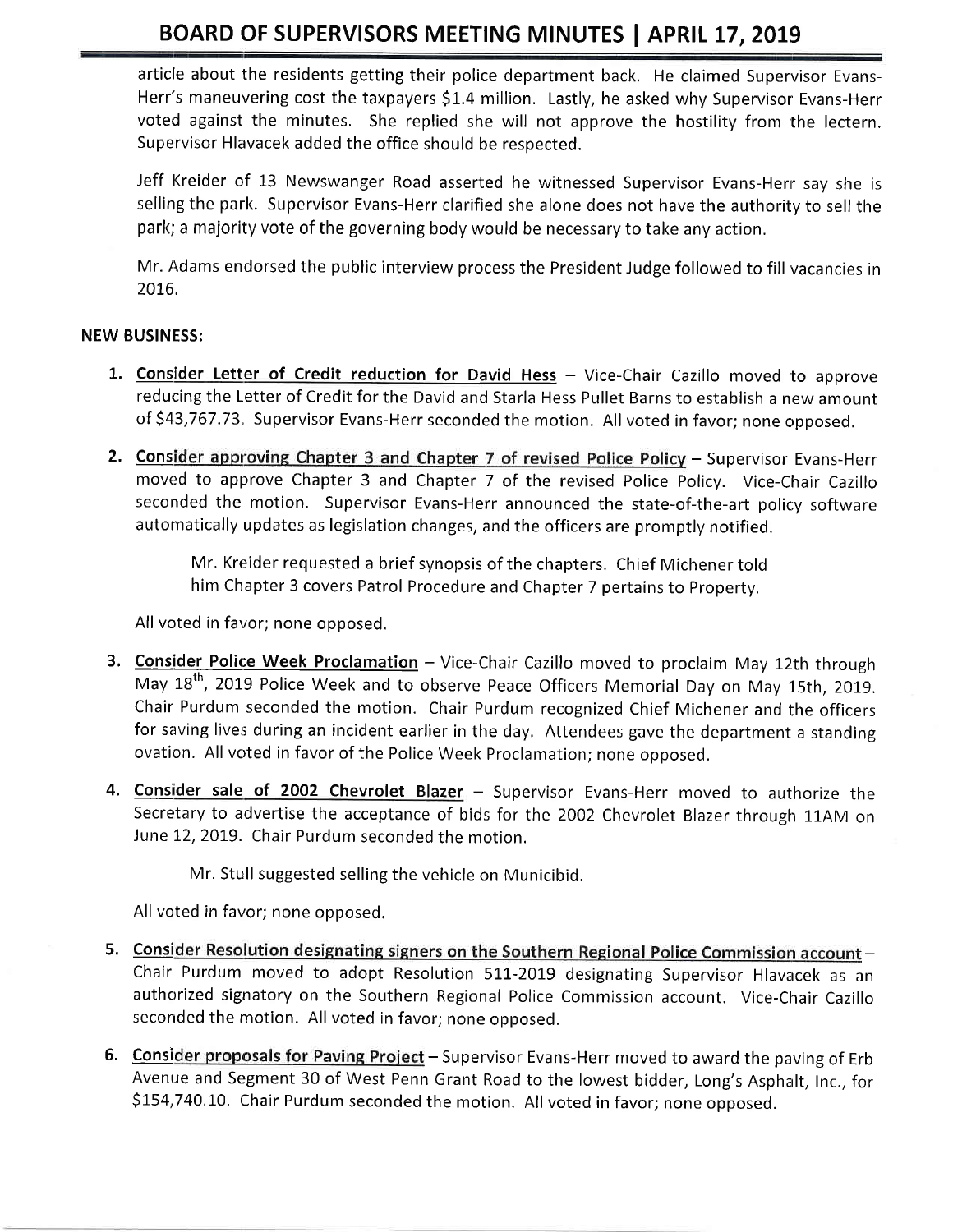# BOARD OF SUPERVISORS MEETING MINUTES | APRIL 17, 2019

article about the residents getting their police department back. He claimed Supervisor Evans-Herr's maneuvering cost the taxpayers \$1.4 million. Lastly, he asked why Supervisor Evans-Herr voted against the minutes, She replied she will not approve the hostility from the lectern. Supervisor Hlavacek added the office should be respected.

Jeff Kreider of 13 Newswanger Road asserted he witnessed Supervisor Evans-Herr say she is selling the park. Supervisor Evans-Herr clarified she alone does not have the authority to sell the park; a majority vote of the governing body would be necessary to take any action,

Mr. Adams endorsed the public interview process the President Judge followed to fill vacancies in 20L6.

## NEW BUSINESS:

- 1. Consider Letter of Credit reduction for David Hess Vice-Chair Cazillo moved to approve reducing the Letter of Credit for the David and Starla Hess Pullet Barns to establish a new amount of \$43,767.73. Supervisor Evans-Herr seconded the motion. All voted in favor; none opposed.
- 2. Consider approving Chapter 3 and Chapter 7 of revised Police Policy Supervisor Evans-Herr moved to approve Chapter 3 and Chapter 7 of the revised Police Policy. Vice-Chair Cazillo seconded the motion. Supervisor Evans-Herr announced the state-of-the-art policy software automatically updates as legislation changes, and the officers are promptly notified.

Mr, Kreider requested a brief synopsis of the chapters. Chief Michener told him Chapter 3 covers Patrol Procedure and Chapter 7 pertains to Property.

All voted in favor; none opposed.

- 3. Consider Police Week Proclamation Vice-Chair Cazillo moved to proclaim May 12th through May 18<sup>th</sup>, 2019 Police Week and to observe Peace Officers Memorial Day on May 15th, 2019. Chair Purdum seconded the motion. Chair Purdum recognized Chief Michener and the officers for saving lives during an incident earlier in the day. Attendees gave the department a standing ovation, All voted in favor of the Police Week Proclamation; none opposed.
- 4. Consider sale of 2002 Chevrolet Blazer Supervisor Evans-Herr moved to authorize the Secretary to advertise the acceptance of bids for the 2002 Chevrolet Blazer through 11AM on June L2,2019. Chair Purdum seconded the motion.

Mr. Stull suggested selling the vehicle on Municibid.

All voted in favor; none opposed.

- 5. Consider Resolution designating signers on the Southern Regional Police Commission account -Chair Purdum moved to adopt Resolution 511-2019 designating Supervisor Hlavacek as an authorized signatory on the Southern Regional Police Commission account. Vice-Chair Cazillo seconded the motion. All voted in favor; none opposed,
- 6. Consider proposals for Paving Project Supervisor Evans-Herr moved to award the paving of Erb Avenue and Segment 30 of West Penn Grant Road to the lowest bidder, Long's Asphalt, Inc., for \$154,740.10. Chair Purdum seconded the motion. All voted in favor; none opposed.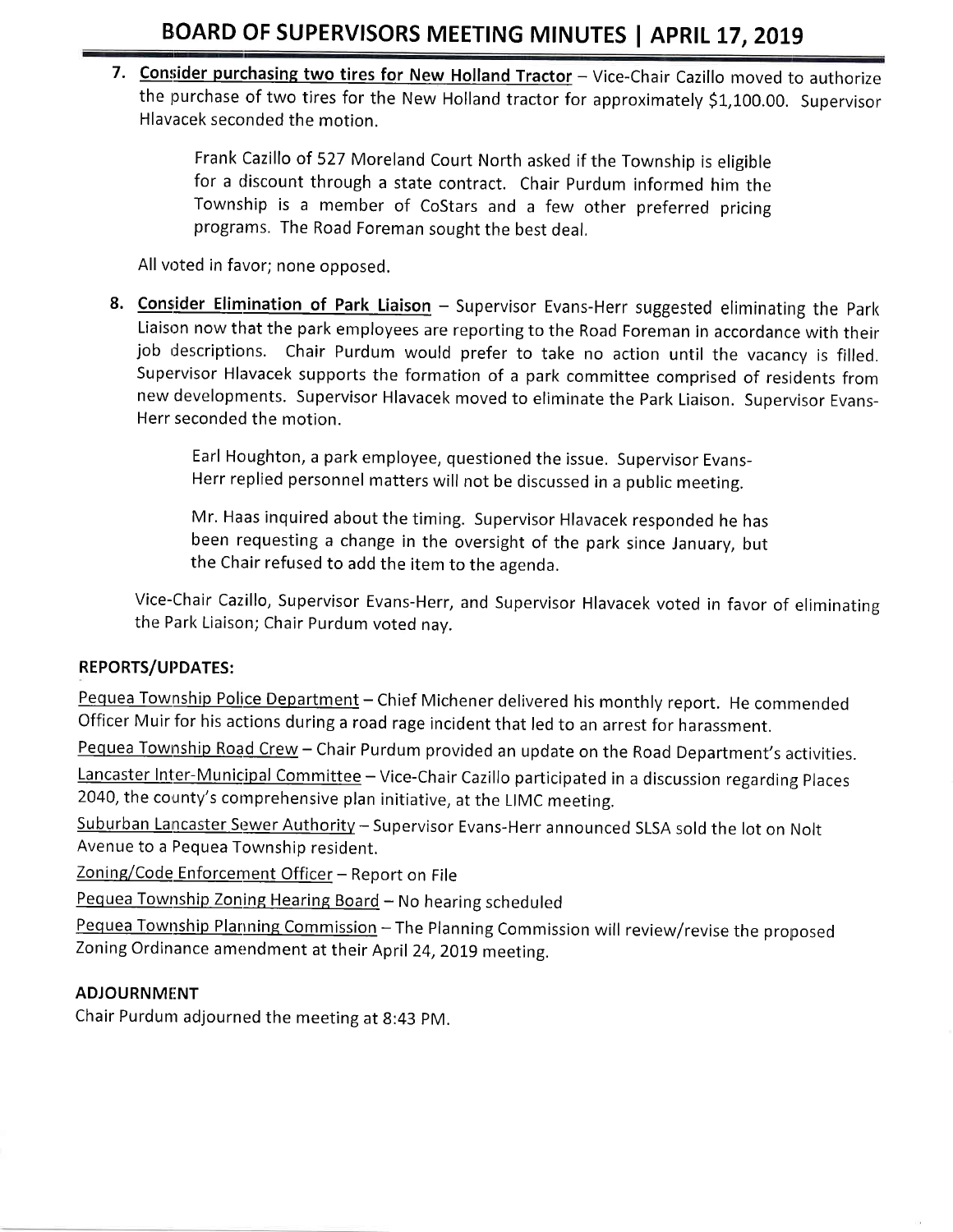7. Consider purchasing two tires for New Holland Tractor - Vice-Chair Cazillo moved to authorize the purchase of two tires for the New Holland tractor for approximately \$1,100.00. Supervisor Hlavacek seconded the motion.

> Frank Cazillo of 527 Moreland Court North asked if the Township is eligible for a discount through a state contract. Chair Purdum informed him the Township is a member of CoStars and a few other preferred pricing programs. The Road Foreman sought the best deal,

All voted in favor; none opposed.

8. Consider Elimination of Park Liaison - Supervisor Evans-Herr suggested eliminating the Park Liaison now that the park employees are reporting to the Road Foreman in accordance with their job descriptions. Chair Purdum would prefer to take no action until the vacancy is filled. Supervisor Hlavacek supports the formation of a park committee comprised of residents from new developments. Supervisor Hlavacek moved to eliminate the Park Liaison. Supervisor Evans-Herr seconded the motion.

> Earl Houghton, a park employee, questioned the issue. Supervisor Evans-Herr replied personnel matters will not be discussed in a public meeting.

Mr. Haas inquired about the timing. Supervisor Hlavacek responded he has been requesting a change in the oversight of the park since January, but the Chair refused to add the item to the agenda.

Vice-Chair Cazillo, Supervisor Evans-Herr, and Supervisor Hlavacek voted in favor of eliminating the Park Liaison; Chair Purdum voted nav.

# REPORTS/UPDATES:

Pequea Township Police Department - Chief Michener delivered his monthly report. He commended Officer Muir for his actions during a road rage incident that led to an arrest for harassment.

Pequea Township Road Crew - Chair Purdum provided an update on the Road Department's activities.

Lancaster Inter-Municipal Committee - Vice-Chair Cazillo participated in a discussion regarding Places 2040, the county's comprehensive plan initiative, at the LIMC meeting,

Suburban Lancaster Sewer Authority - Supervisor Evans-Herr announced SLSA sold the lot on Nolt Avenue to a Pequea Township resident,

Zoning/Code Enforcement Officer - Report on File

Pequea Township Zoning Hearing Board - No hearing scheduled

Pequea Township Planning Commission - The Planning Commission will review/revise the proposed Zoning Ordinance amendment at their April 24, 2019 meeting.

# **ADJOURNMENT**

Chair Purdum adjourned the meeting at 8:43 pM.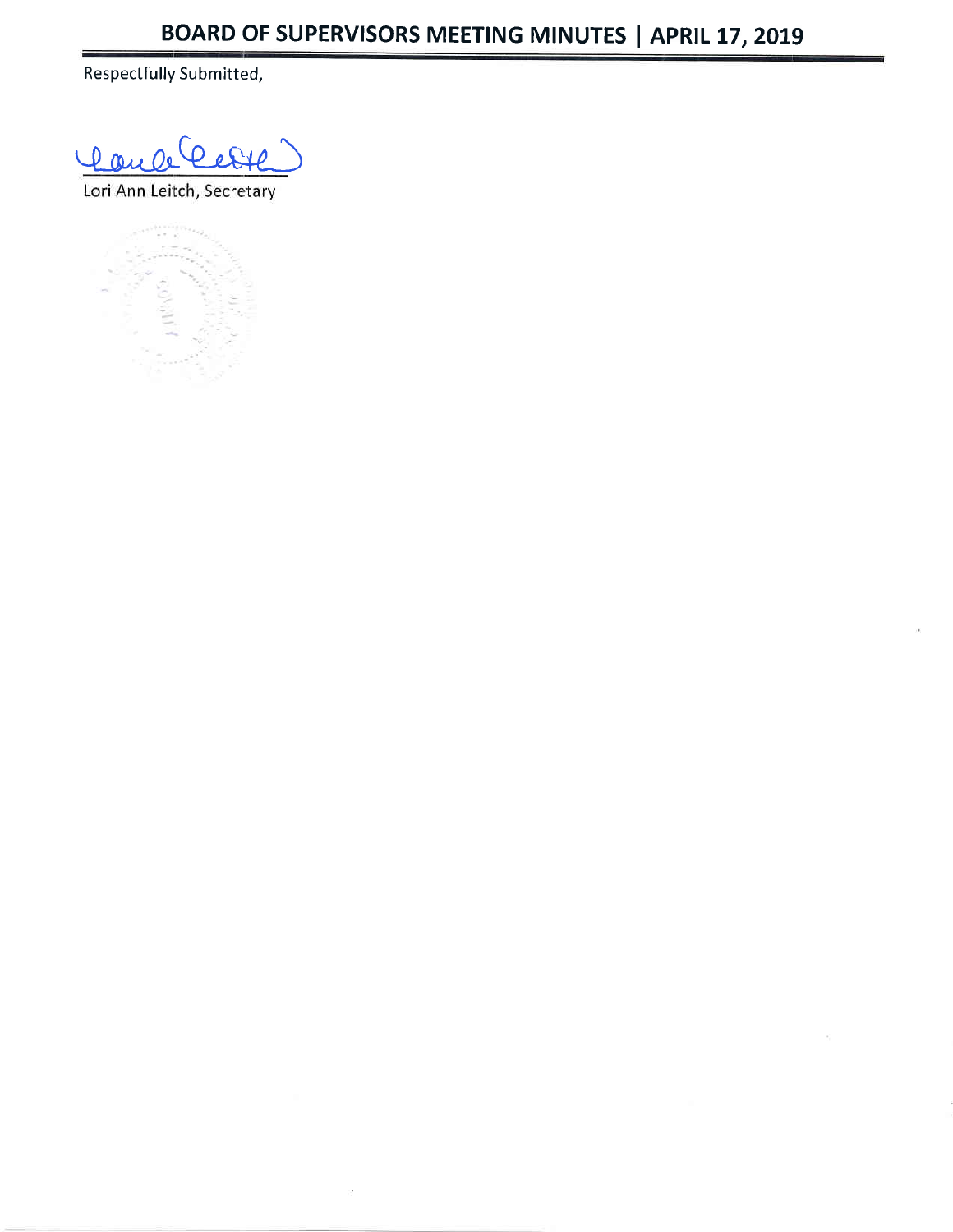Respectfully Submitted,

Refil Dance

Lori Ann Leitch, Secretary



ò.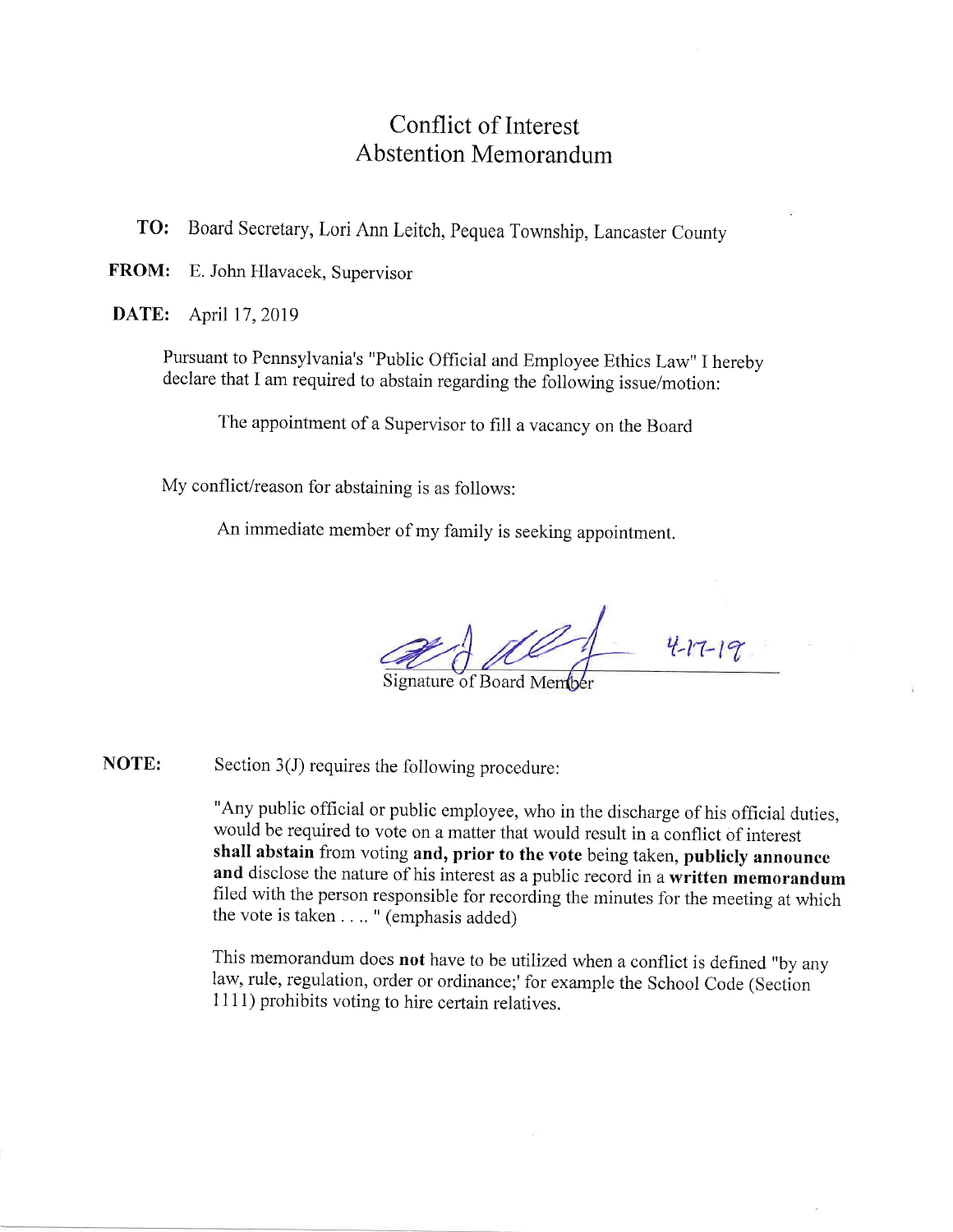# Conflict of Interest Abstention Memorandum

To: Board Secretary, Lori Ann Leitch, pequea Township, Lancaster county

FROM: E. John Hlavacek, Supervisor

**DATE:** April 17, 2019

Pursuant to Pennsylvania's "Public official and Employee Ethics Law" I hereby declare that I am required to abstain regarding the following issue/motion:

The appointment of a Supervisor to fill a vacancy on the Board

My conflict/reason for abstaining is as follows:

An immediate member of my family is seeking appointment.

 $4 - 17 - 19$ 

Signature of Board Member

Section 3(J) requires the following procedure: NOTE:

> "Any public official or public employee, who in the discharge of his official duties, would be required to vote on a matter that would result in a conflict of interest shall abstain from voting and, prior to the vote being taken, publicly announce and disclose the nature of his interest as a public record in a written memorandum filed with the person responsible for recording the minutes for the meeting at which the vote is taken . . .. " (emphasis added)

This memorandum does not have to be utilized when a conflict is defined "by any law, rule, regulation, order or ordinance;' for example the School Code (Section <sup>1</sup>11 1) prohibits voting to hire certain relatives.